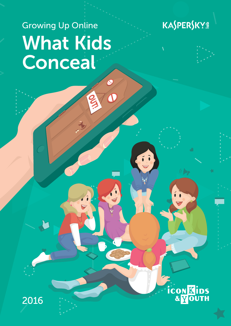# Growing Up Online What Kids Conceal

 $\boldsymbol{\omega}$ 





**CON KIDS**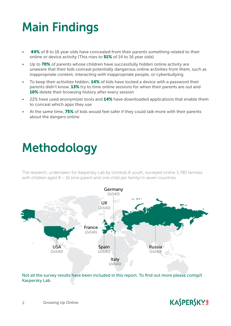## Main Findings

- **44%** of 8 to 16 year olds have concealed from their parents something related to their online or device activity (This rises to 51% of 14 to 16 year olds)
- Up to 70% of parents whose children have successfully hidden online activity are unaware that their kids conceal potentially dangerous online activities from them, such as inappropriate content, interacting with inappropriate people, or cyberbullying
- To keep their activities hidden, 14% of kids have locked a device with a password their parents didn't know. 13% try to time online sessions for when their parents are out and 10% delete their browsing history after every session
- 22% have used anonymizer tools and 14% have downloaded applications that enable them to conceal which apps they use
- At the same time, 75% of kids would feel safer if they could talk more with their parents about the dangers online

### Methodology

The research, undertaken for Kaspersky Lab by iconkids & youth, surveyed online 3,780 families with children aged 8 – 16 (one parent and one child per family) in seven countries:



Not all the survey results have been included in this report. To find out more please contact Kaspersky Lab.

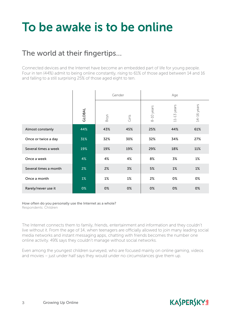## To be awake is to be online

#### The world at their fingertips…

Connected devices and the Internet have become an embedded part of life for young people. Four in ten (44%) admit to being online constantly, rising to 61% of those aged between 14 and 16 and falling to a still surprising 25% of those aged eight to ten.

|                       |        |      | Gender |            | Age                |                 |
|-----------------------|--------|------|--------|------------|--------------------|-----------------|
|                       | GLOBAL | Boys | Girls  | 8-10 years | years<br>$11 - 13$ | $14 - 16$ years |
| Almost constanly      | 44%    | 43%  | 45%    | 25%        | 44%                | 61%             |
| Once or twice a day   | 31%    | 32%  | 30%    | 32%        | 34%                | 27%             |
| Several times a week  | 19%    | 19%  | 19%    | 29%        | 18%                | 11%             |
| Once a week           | 4%     | 4%   | 4%     | 8%         | 3%                 | 1%              |
| Several times a month | 2%     | 2%   | 3%     | 5%         | $1\%$              | $1\%$           |
| Once a month          | $1\%$  | 1%   | 1%     | 2%         | 0%                 | 0%              |
| Rarely/never use it   | 0%     | 0%   | 0%     | 0%         | 0%                 | 0%              |

How often do you personally use the Internet as a whole? Respondents: Children

The Internet connects them to family, friends, entertainment and information and they couldn't live without it. From the age of 14, when teenagers are officially allowed to join many leading social media networks and instant messaging apps, chatting with friends becomes the number one online activity. 49% says they couldn't manage without social networks.

Even among the youngest children surveyed, who are focused mainly on online gaming, videos and movies – just under half says they would under no circumstances give them up.

### **KASPERSKYS**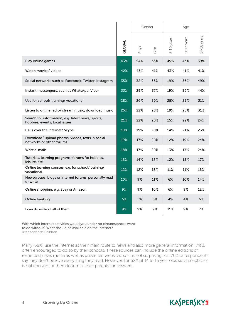|                                                                                                                                                                                                                                                                                                                                                                                                                                                                                 |        | Gender |       | Age        |               |             |  |
|---------------------------------------------------------------------------------------------------------------------------------------------------------------------------------------------------------------------------------------------------------------------------------------------------------------------------------------------------------------------------------------------------------------------------------------------------------------------------------|--------|--------|-------|------------|---------------|-------------|--|
|                                                                                                                                                                                                                                                                                                                                                                                                                                                                                 | GLOBAL | Boys   | Girls | 8-10 years | $11-13$ years | 14-16 years |  |
| Play online games                                                                                                                                                                                                                                                                                                                                                                                                                                                               | 43%    | 54%    | 33%   | 49%        | 43%           | 39%         |  |
| Watch movies/ videos                                                                                                                                                                                                                                                                                                                                                                                                                                                            | 42%    | 43%    | 41%   | 43%        | 41%           | 41%         |  |
| Social networks such as Facebook, Twitter, Instagram                                                                                                                                                                                                                                                                                                                                                                                                                            | 35%    | 32%    | 38%   | 19%        | 36%           | 49%         |  |
| Instant messengers, such as WhatsApp, Viber                                                                                                                                                                                                                                                                                                                                                                                                                                     | 33%    | 29%    | 37%   | 19%        | 36%           | 44%         |  |
| Use for school/ training/ vocational                                                                                                                                                                                                                                                                                                                                                                                                                                            | 28%    | 26%    | 30%   | 25%        | 29%           | 31%         |  |
| Listen to online radio/ stream music, download music                                                                                                                                                                                                                                                                                                                                                                                                                            | 25%    | 22%    | 28%   | 19%        | 25%           | 31%         |  |
| Search for information, e.g. latest news, sports,<br>hobbies, events, local issues                                                                                                                                                                                                                                                                                                                                                                                              | 21%    | 22%    | 20%   | 15%        | 22%           | 24%         |  |
| Calls over the Internet/ Skype                                                                                                                                                                                                                                                                                                                                                                                                                                                  | 19%    | 19%    | 20%   | 14%        | 21%           | 23%         |  |
| Download/ upload photos, videos, texts in social<br>networks or other forums                                                                                                                                                                                                                                                                                                                                                                                                    | 19%    | 17%    | 20%   | 12%        | 19%           | 24%         |  |
| Write e-mails                                                                                                                                                                                                                                                                                                                                                                                                                                                                   | 18%    | 17%    | 20%   | 13%        | 17%           | 24%         |  |
| Tutorials, learning programs, forums for hobbies,<br>leisure, etc.                                                                                                                                                                                                                                                                                                                                                                                                              | 15%    | 14%    | 15%   | 12%        | 15%           | 17%         |  |
| Online learning courses, e.g. for school/training/<br>vocational                                                                                                                                                                                                                                                                                                                                                                                                                | 12%    | 12%    | 13%   | 11%        | 11%           | 15%         |  |
| Newsgroups, blogs or Internet forums: personally read<br>or write                                                                                                                                                                                                                                                                                                                                                                                                               | 10%    | 9%     | 11%   | 6%         | 10%           | 14%         |  |
| Online shopping, e.g. Ebay or Amazon                                                                                                                                                                                                                                                                                                                                                                                                                                            | 9%     | 9%     | 10%   | 6%         | 9%            | 12%         |  |
| Online banking                                                                                                                                                                                                                                                                                                                                                                                                                                                                  | 5%     | 5%     | 5%    | 4%         | 4%            | 6%          |  |
| I can do without all of them                                                                                                                                                                                                                                                                                                                                                                                                                                                    | 9%     | 9%     | 9%    | 11%        | 9%            | 7%          |  |
| With which Internet activities would you under no circumstances want<br>to do without? What should be available on the Internet?<br>Respondents: Children                                                                                                                                                                                                                                                                                                                       |        |        |       |            |               |             |  |
| Many (58%) use the Internet as their main route to news and also more general information (74%),<br>often encouraged to do so by their schools. These sources can include the online editions of<br>respected news media as well as unverified websites, so it is not surprising that 70% of respondents<br>say they don't believe everything they read. However, for 62% of 14 to 16 year olds such scepticism<br>is not enough for them to turn to their parents for answers. |        |        |       |            |               |             |  |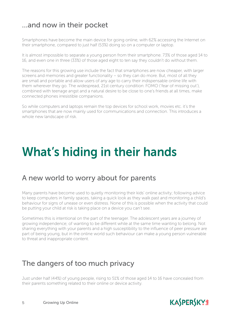#### …and now in their pocket

Smartphones have become the main device for going online, with 62% accessing the Internet on their smartphone, compared to just half (53%) doing so on a computer or laptop.

It is almost impossible to separate a young person from their smartphone. 73% of those aged 14 to 16, and even one in three (33%) of those aged eight to ten say they couldn't do without them.

The reasons for this growing use include the fact that smartphones are now cheaper, with larger screens and memories and greater functionality – so they can do more. But, most of all they are small and portable and allow users of any age to carry their indispensable online life with them wherever they go. The widespread, 21st century condition: FOMO ('fear of missing out'), combined with teenage angst and a natural desire to be close to one's friends at all times, make connected phones irresistible companions.

So while computers and laptops remain the top devices for school work, movies etc. it's the smartphones that are now mainly used for communications and connection. This introduces a whole new landscape of risk.

## What's hiding in their hands

#### A new world to worry about for parents

Many parents have become used to quietly monitoring their kids' online activity; following advice to keep computers in family spaces, taking a quick look as they walk past and monitoring a child's behaviour for signs of unease or even distress. None of this is possible when the activity that could be putting your child at risk is taking place on a device you can't see.

Sometimes this is intentional on the part of the teenager. The adolescent years are a journey of growing independence; of wanting to be different while at the same time wanting to belong. Not sharing everything with your parents and a high susceptibility to the influence of peer pressure are part of being young, but in the online world such behaviour can make a young person vulnerable to threat and inappropriate content.

#### The dangers of too much privacy

Just under half (44%) of young people, rising to 51% of those aged 14 to 16 have concealed from their parents something related to their online or device activity.

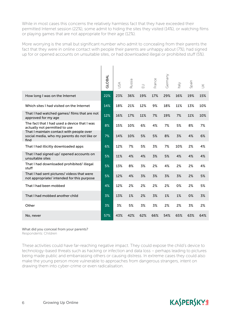While in most cases this concerns the relatively harmless fact that they have exceeded their permitted Internet session (22%), some admit to hiding the sites they visited (14%), or watching films or playing games that are not appropriate for their age (12%).

More worrying is the small but significant number who admit to concealing from their parents the fact that they were in online contact with people their parents are unhappy about (7%), had signed up for or opened accounts on unsuitable sites, or had downloaded illegal or prohibited stuff (5%).

|                                                                                                 | GLOBAL | JSA | Russia | $\supseteq$ | France | Germany | $\sqrt{\mathsf{P}}$ | Spain | $\leq$ |
|-------------------------------------------------------------------------------------------------|--------|-----|--------|-------------|--------|---------|---------------------|-------|--------|
| How long I was on the Internet                                                                  | 22%    | 23% | 36%    | 19%         | 17%    | 29%     | 16%                 | 19%   | 15%    |
| Which sites I had visited on the Internet                                                       | 14%    | 18% | 21%    | 12%         | 9%     | 18%     | 11%                 | 13%   | 10%    |
| That I had watched games/ films that are not<br>approved for my age                             | 12%    | 16% | 17%    | 11%         | 7%     | 19%     | 7%                  | 11%   | 10%    |
| The fact that I had used a device that I was<br>actually not permitted to use                   | 8%     | 15% | 10%    | 6%          | 4%     | 7%      | 5%                  | 8%    | 7%     |
| That I maintain contact with people over<br>social media, who my parents do not like or<br>find | 7%     | 14% | 10%    | 5%          | 5%     | 8%      | 3%                  | 4%    | 6%     |
| That I had illicitly downloaded apps                                                            | 6%     | 12% | 7%     | 5%          | 3%     | 7%      | 10%                 | 2%    | 4%     |
| That I had signed up/ opened accounts on<br>unsuitable sites                                    | 5%     | 11% | 4%     | 4%          | 3%     | 5%      | 4%                  | 4%    | 4%     |
| That I had downloaded prohibited/illegal<br>stuff                                               | 5%     | 13% | 8%     | 3%          | 2%     | 4%      | 2%                  | 2%    | 4%     |
| That I had sent pictures/ videos that were<br>not appropriate/ intended for this purpose        | 5%     | 12% | 4%     | 3%          | 3%     | 3%      | 3%                  | 2%    | 5%     |
| That I had been mobbed                                                                          | 4%     | 12% | 2%     | 2%          | 2%     | 2%      | 0%                  | 2%    | 5%     |
| That I had mobbed another child                                                                 | 3%     | 13% | 1%     | 2%          | 3%     | 1%      | 1%                  | 0%    | 3%     |
| Other                                                                                           | 3%     | 3%  | 5%     | 3%          | 3%     | 2%      | 2%                  | 3%    | 2%     |
| No, never                                                                                       | 57%    | 43% | 42%    | 62%         | 66%    | 54%     | 65%                 | 63%   | 64%    |

#### What did you conceal from your parents?

Respondents: Children

These activities could have far-reaching negative impact. They could expose the child's device to technology-based threats such as hacking or infection and data loss – perhaps leading to pictures being made public and embarrassing others or causing distress. In extreme cases they could also make the young person more vulnerable to approaches from dangerous strangers, intent on drawing them into cyber-crime or even radicalisation.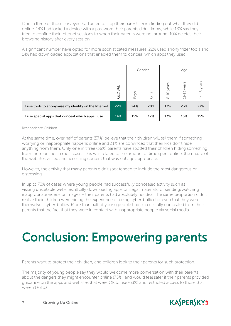One in three of those surveyed had acted to stop their parents from finding out what they did online. 14% had locked a device with a password their parents didn't know, while 13% say they tried to confine their Internet sessions to when their parents were not around. 10% deletes their browsing history after every session.

A significant number have opted for more sophisticated measures: 22% used anonymizer tools and 14% had downloaded applications that enabled them to conceal which apps they used.

|                                                      |        | Gender |       | Age                   |                                                                   |               |  |
|------------------------------------------------------|--------|--------|-------|-----------------------|-------------------------------------------------------------------|---------------|--|
|                                                      | GLOBAL | Boys   | Girls | -10 years<br>$\infty$ | -13 years<br>$\overline{\phantom{0}}$<br>$\overline{\phantom{0}}$ | $14-16$ years |  |
| I use tools to anonymise my identity on the Internet | 22%    | 24%    | 20%   | 17%                   | 23%                                                               | 27%           |  |
| I use special apps that conceal which apps I use     | 14%    | 15%    | 12%   | 13%                   | 13%                                                               | 15%           |  |

#### Respondents: Children

At the same time, over half of parents (57%) believe that their children will tell them if something worrying or inappropriate happens online and 31% are convinced that their kids don't hide anything from them. Only one in three (38%) parents have spotted their children hiding something from them online. In most cases, this was related to the amount of time spent online, the nature of the websites visited and accessing content that was not age appropriate.

However, the activity that many parents didn't spot tended to include the most dangerous or distressing.

In up to 70% of cases where young people had successfully concealed activity such as visiting unsuitable websites, illicitly downloading apps or illegal materials, or sending/watching inappropriate videos or images – their parents had absolutely no idea. The same proportion didn't realize their children were hiding the experience of being cyber-bullied or even that they were themselves cyber-bullies. More than half of young people had successfully concealed from their parents that the fact that they were in contact with inappropriate people via social media.

## Conclusion: Empowering parents

Parents want to protect their children, and children look to their parents for such protection.

The majority of young people say they would welcome more conversation with their parents about the dangers they might encounter online (75%), and would feel safer if their parents provided guidance on the apps and websites that were OK to use (63%) and restricted access to those that weren't (61%).

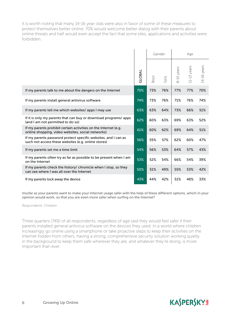It is worth noting that many 14-16 year olds were also in favor of some of these measures to protect themselves better online. 70% would welcome better dialog with their parents about online threats and half would even accept the fact that some sites, applications and activities were forbidden.

|                                                                                                                       |        | Gender      |       |            | Age           |             |  |
|-----------------------------------------------------------------------------------------------------------------------|--------|-------------|-------|------------|---------------|-------------|--|
|                                                                                                                       | GLOBAL | <b>Boys</b> | Girls | 8-10 years | $11-13$ years | 14-16 years |  |
| If my parents talk to me about the dangers on the Internet                                                            | 75%    | 73%         | 76%   | 77%        | 77%           | 70%         |  |
| If my parents install general antivirus software                                                                      | 74%    | 73%         | 76%   | 71%        | 76%           | 74%         |  |
| If my parents tell me which websites/apps I may use                                                                   | 63%    | 63%         | 64%   | 73%        | 66%           | 51%         |  |
| If it is only my parents that can buy or download programs/ apps<br>(and I am not permitted to do so)                 | 62%    | 60%         | 63%   | 69%        | 63%           | 52%         |  |
| If my parents prohibit certain activities on the Internet (e.g.<br>online shopping, video websites, social networks)  | 61%    | 60%         | 62%   | 69%        | 64%           | 51%         |  |
| If my parents password protect specific websites, and I can as<br>such not access these websites (e.g. online stores) | 56%    | 55%         | 57%   | 62%        | 60%           | 47%         |  |
| If my parents set me a time limit                                                                                     | 54%    | 56%         | 53%   | 64%        | 57%           | 43%         |  |
| If my parents often try as far as possible to be present when I am<br>on the Internet                                 | 53%    | 52%         | 54%   | 66%        | 54%           | 39%         |  |
| If my parents check the history/ chronicle when I stop, so they<br>can see where I was all over the Internet          | 50%    | 51%         | 49%   | 55%        | 53%           | 42%         |  |
| If my parents lock away the device                                                                                    | 43%    | 44%         | 42%   | 51%        | 46%           | 33%         |  |

Insofar as your parents want to make your Internet usage safer with the help of these different options, which in your opinion would work, so that you are even more safer when surfing on the Internet?

Respondents: Children

Three quarters (74%) of all respondents, regardless of age said they would feel safer if their parents installed general antivirus software on the devices they used. In a world where children increasingly go online using a smartphone or take proactive steps to keep their activities on the Internet hidden from others, having a strong, comprehensive security solution working quietly in the background to keep them safe wherever they are, and whatever they're doing, is more important than ever.